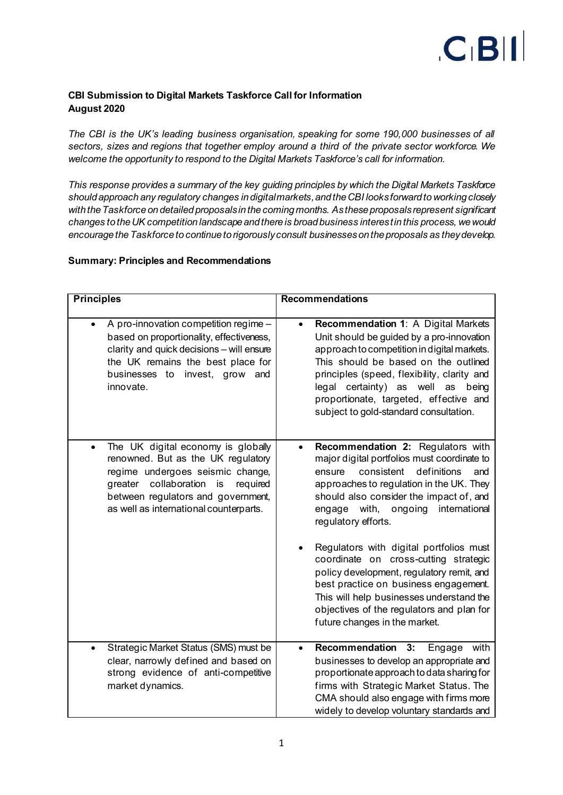

# **CBI Submission to Digital Markets Taskforce Call for Information August 2020**

*The CBI is the UK's leading business organisation, speaking for some 190,000 businesses of all sectors, sizes and regions that together employ around a third of the private sector workforce. We welcome the opportunity to respond to the Digital Markets Taskforce's call for information.*

*This response provides a summary of the key guiding principles by which the Digital Markets Taskforce should approach any regulatory changes indigital markets, and the CBI looks forward to working closely with the Taskforce on detailed proposals in the coming months. As these proposals represent significant changes to the UK competition landscape and there is broad business interest in this process, we would encourage the Taskforce to continue to rigorously consult businesseson the proposals as they develop.*

## **Summary: Principles and Recommendations**

| <b>Principles</b>                                                                                                                                                                                                                                    | <b>Recommendations</b>                                                                                                                                                                                                                                                                                                                                                                                                                                                                                                                                                                                       |
|------------------------------------------------------------------------------------------------------------------------------------------------------------------------------------------------------------------------------------------------------|--------------------------------------------------------------------------------------------------------------------------------------------------------------------------------------------------------------------------------------------------------------------------------------------------------------------------------------------------------------------------------------------------------------------------------------------------------------------------------------------------------------------------------------------------------------------------------------------------------------|
| A pro-innovation competition regime -<br>$\bullet$<br>based on proportionality, effectiveness,<br>clarity and quick decisions - will ensure<br>the UK remains the best place for<br>businesses to<br>invest, grow<br>and<br>innovate.                | Recommendation 1: A Digital Markets<br>$\bullet$<br>Unit should be guided by a pro-innovation<br>approach to competition in digital markets.<br>This should be based on the outlined<br>principles (speed, flexibility, clarity and<br>legal certainty) as well as<br>being<br>proportionate, targeted, effective and<br>subject to gold-standard consultation.                                                                                                                                                                                                                                              |
| The UK digital economy is globally<br>$\bullet$<br>renowned. But as the UK regulatory<br>regime undergoes seismic change,<br>collaboration is<br>greater<br>required<br>between regulators and government,<br>as well as international counterparts. | Recommendation 2: Regulators with<br>$\bullet$<br>major digital portfolios must coordinate to<br>definitions<br>consistent<br>ensure<br>and<br>approaches to regulation in the UK. They<br>should also consider the impact of, and<br>with,<br>ongoing<br>international<br>engage<br>regulatory efforts.<br>Regulators with digital portfolios must<br>coordinate on cross-cutting strategic<br>policy development, regulatory remit, and<br>best practice on business engagement.<br>This will help businesses understand the<br>objectives of the regulators and plan for<br>future changes in the market. |
| Strategic Market Status (SMS) must be<br>$\bullet$<br>clear, narrowly defined and based on<br>strong evidence of anti-competitive<br>market dynamics.                                                                                                | Recommendation 3:<br>with<br>Engage<br>$\bullet$<br>businesses to develop an appropriate and<br>proportionate approach to data sharing for<br>firms with Strategic Market Status. The<br>CMA should also engage with firms more<br>widely to develop voluntary standards and                                                                                                                                                                                                                                                                                                                                 |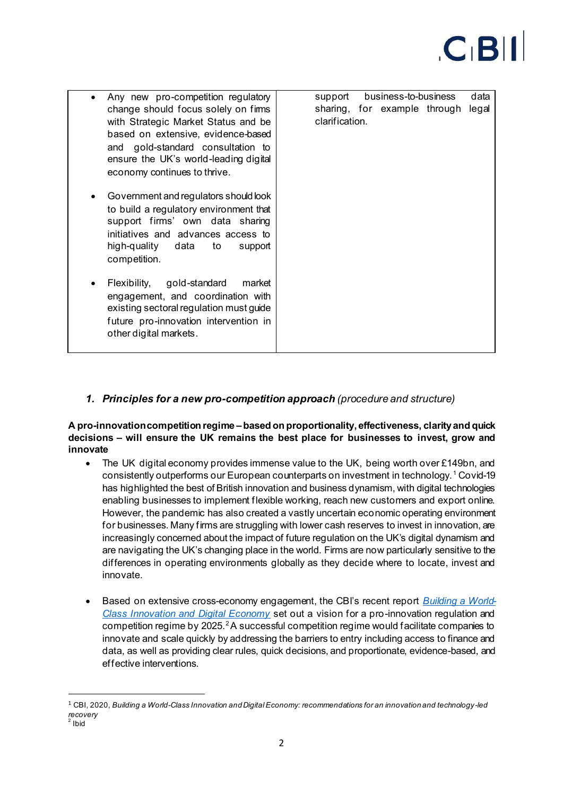

| Any new pro-competition regulatory<br>change should focus solely on fims<br>with Strategic Market Status and be<br>based on extensive, evidence-based<br>and gold-standard consultation to<br>ensure the UK's world-leading digital<br>economy continues to thrive. | business-to-business<br>data<br>support<br>sharing, for example through<br>legal<br>clarification. |
|---------------------------------------------------------------------------------------------------------------------------------------------------------------------------------------------------------------------------------------------------------------------|----------------------------------------------------------------------------------------------------|
| Government and regulators should look<br>to build a regulatory environment that<br>support firms' own data sharing<br>initiatives and advances access to<br>high-quality data<br>to<br>support<br>competition.                                                      |                                                                                                    |
| Flexibility, gold-standard<br>market<br>engagement, and coordination with<br>existing sectoral regulation must guide<br>future pro-innovation intervention in<br>other digital markets.                                                                             |                                                                                                    |

# *1. Principles for a new pro-competition approach (procedure and structure)*

#### **A pro-innovation competition regime –based on proportionality,effectiveness, clarity and quick decisions – will ensure the UK remains the best place for businesses to invest, grow and innovate**

- The UK digital economy provides immense value to the UK, being worth over £149bn, and consistently outperforms our European counterparts on investment in technology. <sup>1</sup> Covid-19 has highlighted the best of British innovation and business dynamism, with digital technologies enabling businesses to implement flexible working, reach new customers and export online. However, the pandemic has also created a vastly uncertain economic operating environment for businesses. Many firms are struggling with lower cash reserves to invest in innovation, are increasingly concerned about the impact of future regulation on the UK's digital dynamism and are navigating the UK's changing place in the world. Firms are now particularly sensitive to the differences in operating environments globally as they decide where to locate, invest and innovate.
- Based on extensive cross-economy engagement, the CBI's recent report *[Building a World-](https://www.cbi.org.uk/articles/building-a-world-class-innovation-and-digital-economy/)[Class Innovation and Digital Economy](https://www.cbi.org.uk/articles/building-a-world-class-innovation-and-digital-economy/)* set out a vision for a pro-innovation regulation and competition regime by 2025.<sup>2</sup>A successful competition regime would facilitate companies to innovate and scale quickly by addressing the barriers to entry including access to finance and data, as well as providing clear rules, quick decisions, and proportionate, evidence-based, and effective interventions.

<sup>1</sup> CBI, 2020, *Building a World-Class Innovation and Digital Economy: recommendations for an innovation and technology-led recovery*<br><sup>2</sup> Ibid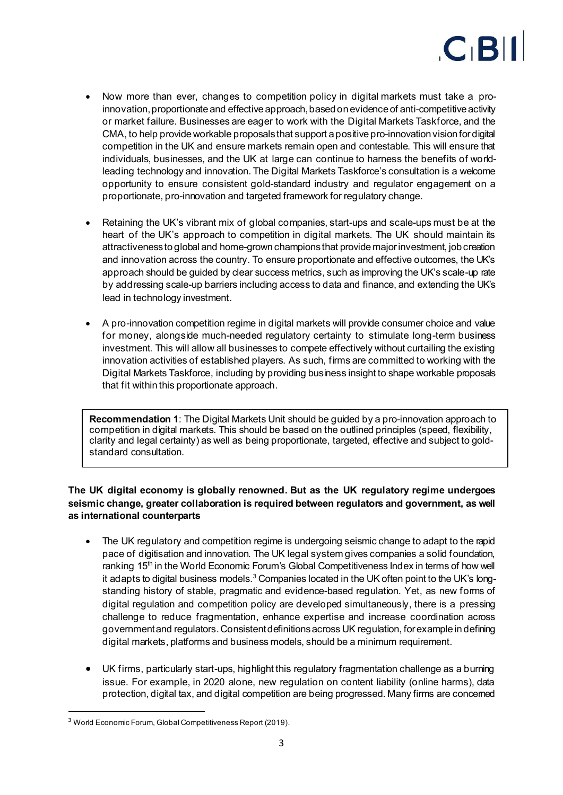

- Now more than ever, changes to competition policy in digital markets must take a proinnovation, proportionate and effective approach, based on evidence of anti-competitive activity or market failure. Businesses are eager to work with the Digital Markets Taskforce, and the CMA, to help provide workable proposals that support a positive pro-innovation vision for digital competition in the UK and ensure markets remain open and contestable. This will ensure that individuals, businesses, and the UK at large can continue to harness the benefits of worldleading technology and innovation. The Digital Markets Taskforce's consultation is a welcome opportunity to ensure consistent gold-standard industry and regulator engagement on a proportionate, pro-innovation and targeted framework for regulatory change.
- Retaining the UK's vibrant mix of global companies, start-ups and scale-ups must be at the heart of the UK's approach to competition in digital markets. The UK should maintain its attractiveness to global and home-grown champions that provide major investment, job creation and innovation across the country. To ensure proportionate and effective outcomes, the UK's approach should be guided by clear success metrics, such as improving the UK's scale-up rate by addressing scale-up barriers including access to data and finance, and extending the UK's lead in technology investment.
- A pro-innovation competition regime in digital markets will provide consumer choice and value for money, alongside much-needed regulatory certainty to stimulate long-term business investment. This will allow all businesses to compete effectively without curtailing the existing innovation activities of established players. As such, firms are committed to working with the Digital Markets Taskforce, including by providing business insight to shape workable proposals that fit within this proportionate approach.

**Recommendation 1**: The Digital Markets Unit should be guided by a pro-innovation approach to competition in digital markets. This should be based on the outlined principles (speed, flexibility, clarity and legal certainty) as well as being proportionate, targeted, effective and subject to goldstandard consultation.

## **The UK digital economy is globally renowned. But as the UK regulatory regime undergoes seismic change, greater collaboration is required between regulators and government, as well as international counterparts**

- The UK regulatory and competition regime is undergoing seismic change to adapt to the rapid pace of digitisation and innovation. The UK legal system gives companies a solid foundation, ranking 15<sup>th</sup> in the World Economic Forum's Global Competitiveness Index in terms of how well it adapts to digital business models. $^3$  Companies located in the UK often point to the UK's longstanding history of stable, pragmatic and evidence-based regulation. Yet, as new forms of digital regulation and competition policy are developed simultaneously, there is a pressing challenge to reduce fragmentation, enhance expertise and increase coordination across government and regulators.Consistent definitions across UK regulation, for example in defining digital markets, platforms and business models, should be a minimum requirement.
- UK firms, particularly start-ups, highlight this regulatory fragmentation challenge as a burning issue. For example, in 2020 alone, new regulation on content liability (online harms), data protection, digital tax, and digital competition are being progressed. Many firms are concerned

<sup>3</sup> World Economic Forum, Global Competitiveness Report (2019).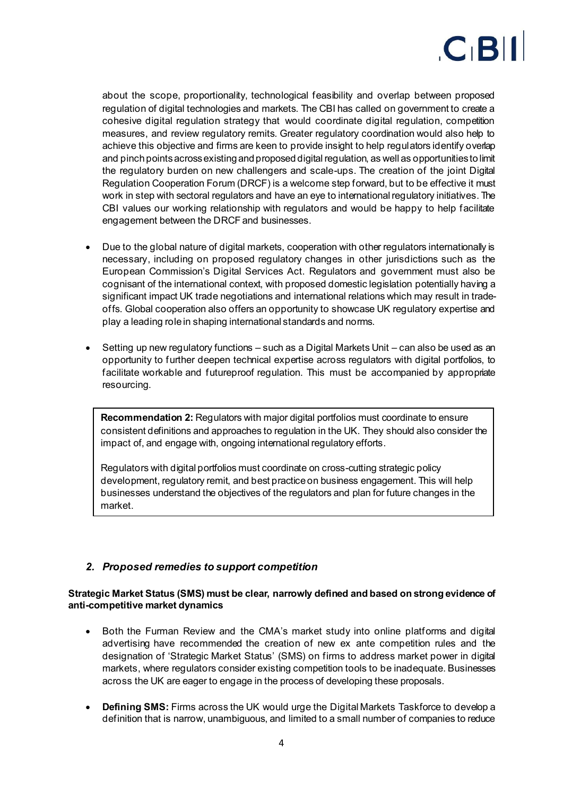

about the scope, proportionality, technological feasibility and overlap between proposed regulation of digital technologies and markets. The CBI has called on government to create a cohesive digital regulation strategy that would coordinate digital regulation, competition measures, and review regulatory remits. Greater regulatory coordination would also help to achieve this objective and firms are keen to provide insight to help regulators identify overlap and pinch points across existing and proposed digital regulation, as well as opportunities to limit the regulatory burden on new challengers and scale-ups. The creation of the joint Digital Regulation Cooperation Forum (DRCF) is a welcome step forward, but to be effective it must work in step with sectoral regulators and have an eye to international regulatory initiatives. The CBI values our working relationship with regulators and would be happy to help facilitate engagement between the DRCF and businesses.

- Due to the global nature of digital markets, cooperation with other regulators internationally is necessary, including on proposed regulatory changes in other jurisdictions such as the European Commission's Digital Services Act. Regulators and government must also be cognisant of the international context, with proposed domestic legislation potentially having a significant impact UK trade negotiations and international relations which may result in tradeoffs. Global cooperation also offers an opportunity to showcase UK regulatory expertise and play a leading role in shaping international standards and norms.
- Setting up new regulatory functions such as a Digital Markets Unit can also be used as an opportunity to further deepen technical expertise across regulators with digital portfolios, to facilitate workable and futureproof regulation. This must be accompanied by appropriate resourcing.

**Recommendation 2:** Regulators with major digital portfolios must coordinate to ensure consistent definitions and approaches to regulation in the UK. They should also consider the impact of, and engage with, ongoing international regulatory efforts.

Regulators with digital portfolios must coordinate on cross-cutting strategic policy development, regulatory remit, and best practice on business engagement. This will help businesses understand the objectives of the regulators and plan for future changes in the market.

# *2. Proposed remedies to support competition*

#### **Strategic Market Status (SMS) must be clear, narrowly defined and based on strong evidence of anti-competitive market dynamics**

- Both the Furman Review and the CMA's market study into online platforms and digital advertising have recommended the creation of new ex ante competition rules and the designation of 'Strategic Market Status' (SMS) on firms to address market power in digital markets, where regulators consider existing competition tools to be inadequate. Businesses across the UK are eager to engage in the process of developing these proposals.
- **Defining SMS:** Firms across the UK would urge the Digital Markets Taskforce to develop a definition that is narrow, unambiguous, and limited to a small number of companies to reduce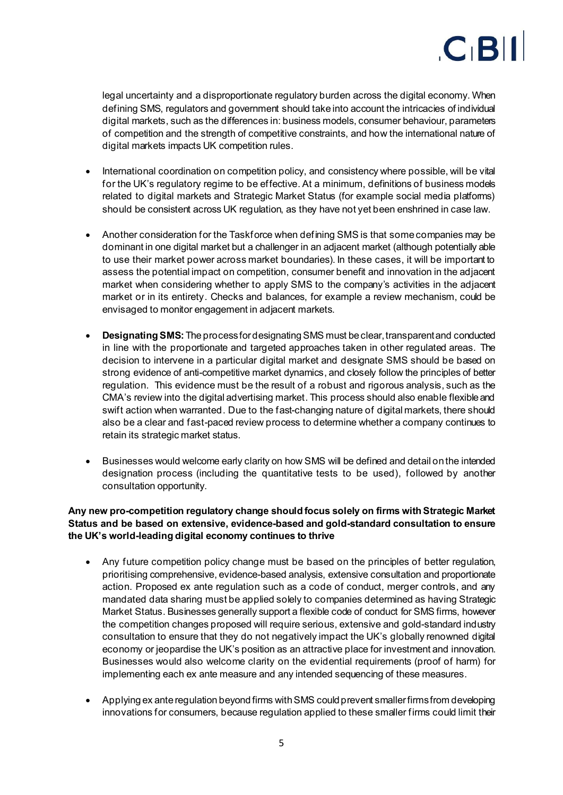

legal uncertainty and a disproportionate regulatory burden across the digital economy. When defining SMS, regulators and government should take into account the intricacies of individual digital markets, such as the differences in: business models, consumer behaviour, parameters of competition and the strength of competitive constraints, and how the international nature of digital markets impacts UK competition rules.

- International coordination on competition policy, and consistency where possible, will be vital for the UK's regulatory regime to be effective. At a minimum, definitions of business models related to digital markets and Strategic Market Status (for example social media platforms) should be consistent across UK regulation, as they have not yet been enshrined in case law.
- Another consideration for the Taskforce when defining SMS is that some companies may be dominant in one digital market but a challenger in an adjacent market (although potentially able to use their market power across market boundaries). In these cases, it will be important to assess the potential impact on competition, consumer benefit and innovation in the adjacent market when considering whether to apply SMS to the company's activities in the adjacent market or in its entirety. Checks and balances, for example a review mechanism, could be envisaged to monitor engagement in adjacent markets.
- **Designating SMS:**The process for designating SMS must be clear, transparent and conducted in line with the proportionate and targeted approaches taken in other regulated areas. The decision to intervene in a particular digital market and designate SMS should be based on strong evidence of anti-competitive market dynamics, and closely follow the principles of better regulation. This evidence must be the result of a robust and rigorous analysis, such as the CMA's review into the digital advertising market. This process should also enable flexible and swift action when warranted. Due to the fast-changing nature of digital markets, there should also be a clear and fast-paced review process to determine whether a company continues to retain its strategic market status.
- Businesses would welcome early clarity on how SMS will be defined and detail on the intended designation process (including the quantitative tests to be used), followed by another consultation opportunity.

## **Any new pro-competition regulatory change should focus solely on firms with Strategic Market Status and be based on extensive, evidence-based and gold-standard consultation to ensure the UK's world-leading digital economy continues to thrive**

- Any future competition policy change must be based on the principles of better regulation, prioritising comprehensive, evidence-based analysis, extensive consultation and proportionate action. Proposed ex ante regulation such as a code of conduct, merger controls, and any mandated data sharing must be applied solely to companies determined as having Strategic Market Status. Businesses generally support a flexible code of conduct for SMS firms, however the competition changes proposed will require serious, extensive and gold-standard industry consultation to ensure that they do not negatively impact the UK's globally renowned digital economy or jeopardise the UK's position as an attractive place for investment and innovation. Businesses would also welcome clarity on the evidential requirements (proof of harm) for implementing each ex ante measure and any intended sequencing of these measures.
- Applying ex ante regulation beyond firms with SMS could prevent smaller firms from developing innovations for consumers, because regulation applied to these smaller firms could limit their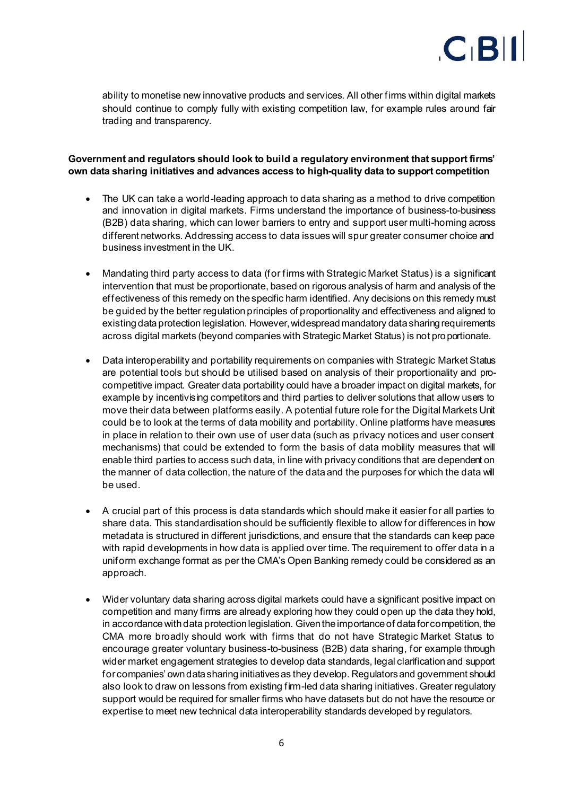

ability to monetise new innovative products and services. All other firms within digital markets should continue to comply fully with existing competition law, for example rules around fair trading and transparency.

## **Government and regulators should look to build a regulatory environment that support firms' own data sharing initiatives and advances access to high-quality data to support competition**

- The UK can take a world-leading approach to data sharing as a method to drive competition and innovation in digital markets. Firms understand the importance of business-to-business (B2B) data sharing, which can lower barriers to entry and support user multi-homing across different networks. Addressing access to data issues will spur greater consumer choice and business investment in the UK.
- Mandating third party access to data (for firms with Strategic Market Status) is a significant intervention that must be proportionate, based on rigorous analysis of harm and analysis of the effectiveness of this remedy on the specific harm identified. Any decisions on this remedy must be guided by the better regulation principles of proportionality and effectiveness and aligned to existing data protection legislation. However, widespread mandatory data sharing requirements across digital markets (beyond companies with Strategic Market Status) is not proportionate.
- Data interoperability and portability requirements on companies with Strategic Market Status are potential tools but should be utilised based on analysis of their proportionality and procompetitive impact. Greater data portability could have a broader impact on digital markets, for example by incentivising competitors and third parties to deliver solutions that allow users to move their data between platforms easily. A potential future role for the Digital Markets Unit could be to look at the terms of data mobility and portability. Online platforms have measures in place in relation to their own use of user data (such as privacy notices and user consent mechanisms) that could be extended to form the basis of data mobility measures that will enable third parties to access such data, in line with privacy conditions that are dependent on the manner of data collection, the nature of the data and the purposes for which the data will be used.
- A crucial part of this process is data standards which should make it easier for all parties to share data. This standardisation should be sufficiently flexible to allow for differences in how metadata is structured in different jurisdictions, and ensure that the standards can keep pace with rapid developments in how data is applied over time. The requirement to offer data in a uniform exchange format as per the CMA's Open Banking remedy could be considered as an approach.
- Wider voluntary data sharing across digital markets could have a significant positive impact on competition and many firms are already exploring how they could open up the data they hold, in accordance with data protection legislation. Given the importance of data for competition, the CMA more broadly should work with firms that do not have Strategic Market Status to encourage greater voluntary business-to-business (B2B) data sharing, for example through wider market engagement strategies to develop data standards, legal clarification and support for companies' own data sharing initiatives as they develop. Regulators and government should also look to draw on lessons from existing firm-led data sharing initiatives. Greater regulatory support would be required for smaller firms who have datasets but do not have the resource or expertise to meet new technical data interoperability standards developed by regulators.